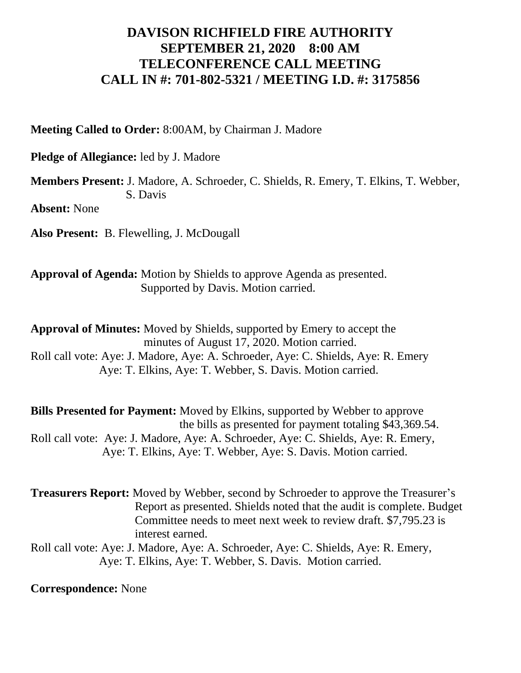## **DAVISON RICHFIELD FIRE AUTHORITY SEPTEMBER 21, 2020 8:00 AM TELECONFERENCE CALL MEETING CALL IN #: 701-802-5321 / MEETING I.D. #: 3175856**

**Meeting Called to Order:** 8:00AM, by Chairman J. Madore

**Pledge of Allegiance:** led by J. Madore

**Members Present:** J. Madore, A. Schroeder, C. Shields, R. Emery, T. Elkins, T. Webber, S. Davis

**Absent:** None

**Also Present:** B. Flewelling, J. McDougall

**Approval of Agenda:** Motion by Shields to approve Agenda as presented. Supported by Davis. Motion carried.

**Approval of Minutes:** Moved by Shields, supported by Emery to accept the minutes of August 17, 2020. Motion carried. Roll call vote: Aye: J. Madore, Aye: A. Schroeder, Aye: C. Shields, Aye: R. Emery Aye: T. Elkins, Aye: T. Webber, S. Davis. Motion carried.

**Bills Presented for Payment:** Moved by Elkins, supported by Webber to approve the bills as presented for payment totaling \$43,369.54. Roll call vote: Aye: J. Madore, Aye: A. Schroeder, Aye: C. Shields, Aye: R. Emery, Aye: T. Elkins, Aye: T. Webber, Aye: S. Davis. Motion carried.

**Treasurers Report:** Moved by Webber, second by Schroeder to approve the Treasurer's Report as presented. Shields noted that the audit is complete. Budget Committee needs to meet next week to review draft. \$7,795.23 is interest earned.

Roll call vote: Aye: J. Madore, Aye: A. Schroeder, Aye: C. Shields, Aye: R. Emery, Aye: T. Elkins, Aye: T. Webber, S. Davis. Motion carried.

**Correspondence:** None